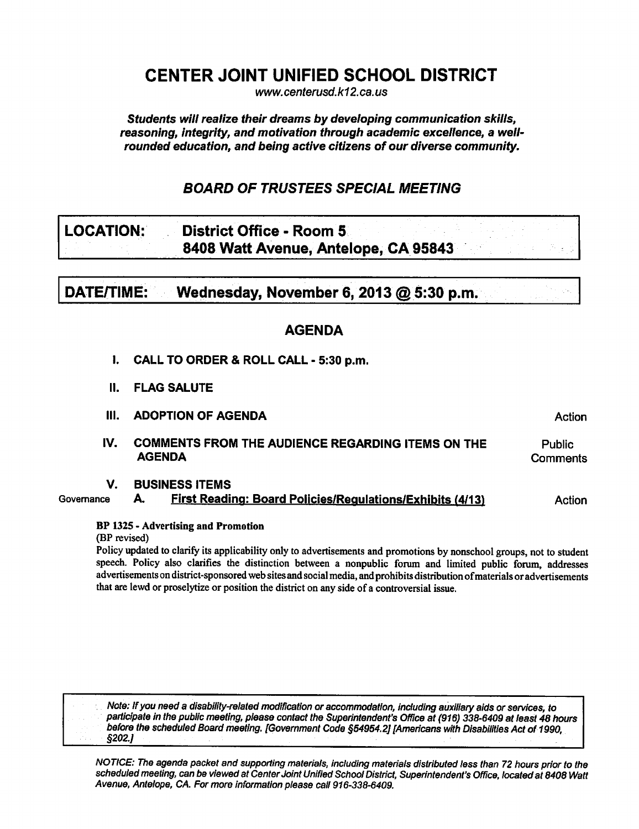# CENTER JOINT UNIFIED SCHOOL DISTRICT

www.centerusd.k12.ca.us

Students will realize their dreams by developing communication skills, reasoning, integrity, and motivation through academic excellence, a wellrounded education, and being active citizens of our diverse community.

# BOARD OF TRUSTEES SPECIAL MEETING

# LOCATION: District Office - Room 5 8408 Watt Avenue, Antelope, CA 95843

DATE/TIME: Wednesday, November 6, 2013  $@$  5:30 p.m.

# AGENDA

- I. CALL TO ORDER & ROLL CALL 5:30 p.m.
- II. FLAG SALUTE
- III. ADOPTION OF AGENDA Action
- IV. COMMENTS FROM THE AUDIENCE REGARDING ITEMS ON THE AGENDA Public **Comments**

# V. BUSINESS ITEMS

Governance A. First Reading: Board Policies/Requlations/Exhibits (4/13) Action

# BP 132S Advertising and Promotion

(BP revised)

Policy updated to clarify its applicability only to advertisements and promotions by nonschool groups, not to student speech. Policy also clarifies the distinction between a nonpublic forum and limited public forum, addresses advertisements on district-sponsored web sites and social media, and prohibits distribution ofmaterials or advertisements that are lewd or proselytize or position the district on any side of a controversial issue.

Note: If you need disability-related modification or accommodation, including auxiliary aids or services, to participate in the public meeting, please contact the Superintendent's Office at (916) 338-6409 at least 48 hours before the scheduled Board meeting. [Government Code §54954.2] [Americans with Disabilities Act of 1990, §202.]

NOTICE: The agenda packet and supporting materials, including materials distributed less than 72 hours prior to the scheduled meeting, can be viewed at Center Joint Unified School District, Superintendent's Office, located at 8408 Watt Avenue, Antelope, CA. For more information please call 916-338-6409.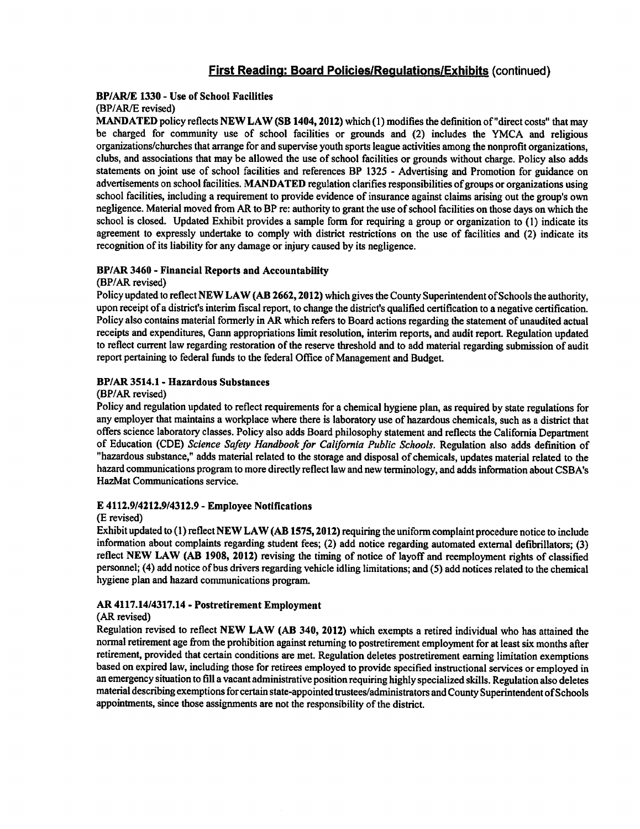#### BP/AR/E 1330 - Use of School Facilities (BP/AR/E revised)

MANDATED policy reflects NEW LAW (SB 1404,2012) which (1) modifies the definition of "direct costs" that may be charged for community use of school facilities or grounds and (2) includes the YMCA and religious organizations/churches that arrange for and supervise youth sports league activities among the nonprofit organizations, clubs, and associations that may be allowed the use of school facilities or grounds without charge. Policy also adds statements on joint use of school facilities and references BP 1325 Advertising and Promotion for guidance on advertisements on school facilities. MANDATED regulation clarifies responsibilities of groups or organizations using school facilities, including a requirement to provide evidence of insurance against claims arising out the group's own negligence. Material moved from AR to BP re: authority to grant the use of school facilities on those days on which the school is closed. Updated Exhibit provides a sample form for requiring a group or organization to  $(1)$  indicate its agreement to expressly undertake to comply with district restrictions on the use of facilities and (2) indicate its recognition of its liability for any damage or injury caused by its negligence.

#### BP/AR 3460 - Financial Reports and Accountability

#### (BP/AR revised)

Policy updated to reflect NEW LAW (AB 2662, 2012) which gives the County Superintendent of Schools the authority, upon receipt of a district's interim fiscal report, to change the district's qualified certification to a negative certification. Policy also contains material formerly in AR which refers to Board actions regarding the statement of unaudited actual receipts and expenditures, Gann appropriations limit resolution, interim reports, and audit report. Regulation updated to reflect current law regarding restoration of the reserve threshold and to add material regarding submission of audit report pertaining to federal funds to the federal Office of Management and Budget.

#### BP/AR 3514.1 - Hazardous Substances

#### (BP/AR revised)

Policy and regulation updated to reflect requirements for a chemical hygiene plan, as required by state regulations for any employer that maintains a workplace where there is laboratory use of hazardous chemicals, such as a district that offers science laboratory classes. Policy also adds Board philosophy statement and reflects the California Department of Education (CDE) Science Safety Handbook for California Public Schools. Regulation also adds definition of "hazardous substance," adds material related to the storage and disposal of chemicals, updates material related to the hazard communications program to more directly reflect law and new terminology, and adds information about CSBA's HazMat Communications service.

#### 4112.9/4212.9/4312.9 Employee Notifications

#### (E revised)

Exhibit updated to (1) reflect NEWLAW (AB 1575,2012) requiring the uniform complaint procedure notice to include information about complaints regarding student fees; (2) add notice regarding automated external defibrillators; (3) reflect NEW LAW (AB 1908, 2012) revising the timing of notice of layoff and reemployment rights of classified personnel; (4) add notice of bus drivers regarding vehicle idling limitations; and (5) add notices related to the chemical hygiene plan and hazard communications program.

#### AR 4117.14/4317.14 Postretirement Employment

#### (AR revised)

Regulation revised to reflect NEW LAW (AB 340, 2012) which exempts a retired individual who has attained the normal retirement age from the prohibition against returning to postretirement employment for at least six months after retirement, provided that certain conditions are met. Regulation deletes postretirement earning limitation exemptions based on expired law, including those for retirees employed to provide specified instructional services or employed in an emergency situation to fill a vacant administrative position requiring highly specialized skills. Regulation also deletes material describing exemptions for certain state-appointed trustees/administrators and County Superintendent ofSchools appointments, since those assignments are not the responsibility of the district.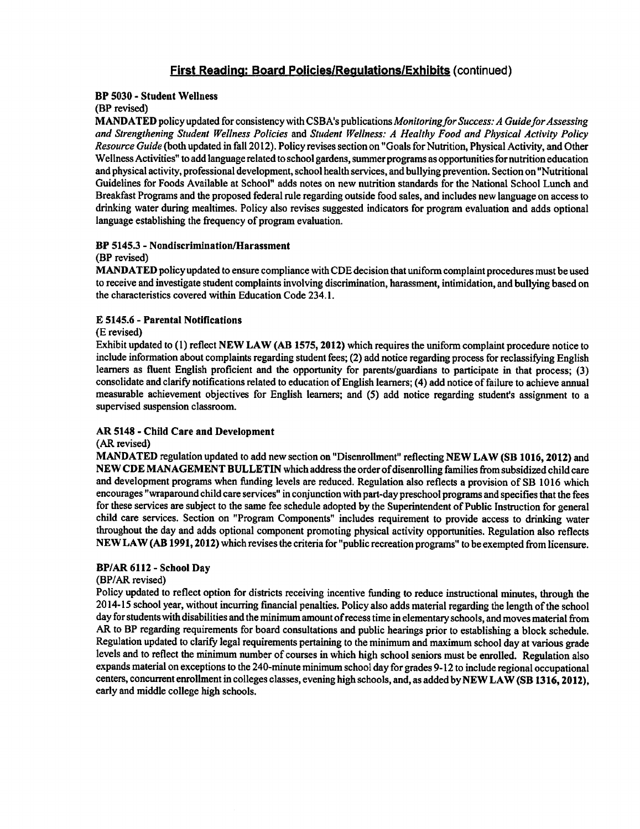#### BP 5030 - Student Wellness

#### (BP revised)

MANDATED policy updated for consistency with CSBA's publications Monitoring for Success: A Guide for Assessing and Strengthening Student Wellness Policies and Student Wellness: A Healthy Food and Physical Activity Policy Resource Guide (both updated in fall 2012). Policy revises section on "Goals for Nutrition, Physical Activity, and Other Wellness Activities" to add language related to school gardens, summer programs as opportunities for nutrition education and physical activity, professional development, school health services, and bullying prevention. Section on "Nutritional Guidelines for Foods Available at School" adds notes on new nutrition standards for the National School Lunch and Breakfast Programs and the proposed federal rule regarding outside food sales, and includes new language on access to drinking water during mealtimes. Policy also revises suggested indicators for program evaluation and adds optional language establishing the frequency of program evaluation.

#### BP 5145.3 - Nondiscrimination/Harassment

#### (BP revised)

MANDATED policy updated to ensure compliance with CDE decision that uniform complaint procedures must be used to receive and investigate student complaints involving discrimination, harassment, intimidation, and bullying based on the characteristics covered within Education Code 234.1.

#### 5145.6 Parental Notifications

#### (E revised)

Exhibit updated to (1) reflect NEW LAW (AB 1575, 2012) which requires the uniform complaint procedure notice to include information about complaints regarding student fees; (2) add notice regarding process for reclassifying English learners as fluent English proficient and the opportunity for parents/guardians to participate in that process; (3) consolidate and clarify notifications related to education of English learners; (4) add notice of failure to achieve annual measurable achievement objectives for English learners; and (5) add notice regarding student's assignment to supervised suspension classroom.

#### AR 5148 - Child Care and Development

#### (AR revised)

MANDATED regulation updated to add new section on "Disenrollment" reflecting NEW LAW (SB 1016,2012) and NEW CDE MANAGEMENT BULLETIN which address the order of disenrolling families from subsidized child care and development programs when funding levels are reduced. Regulation also reflects a provision of SB 1016 which encourages "wraparound child care services" in conjunction with part-day preschool programs and specifies that the fees for these services are subject to the same fee schedule adopted by the Superintendent of Public Instruction for general child care services. Section on "Program Components" includes requirement to provide access to drinking water throughout the day and adds optional component promoting physical activity opportunities. Regulation also reflects NEW LAW (AB 1991,2012) which revises the criteria for "public recreation programs" to be exempted from licensure.

#### BP/AR 6112 - School Dav

#### (BP/AR revised)

Policy updated to reflect option for districts receiving incentive funding to reduce instructional minutes, through the 2014-15 school year, without incurring financial penalties. Policy also adds material regarding the length of the school day for students with disabilities and the minimum amount ofrecess time in elementary schools, and moves material from AR to BP regarding requirements for board consultations and public hearings prior to establishing a block schedule. Regulation updated to clarify legal requirements pertaining to the minimum and maximum school day at various grade levels and to reflect the minimum number of courses in which high school seniors must be enrolled. Regulation also expands material on exceptions to the 240-minute minimum school day for grades 9-12 to include regional occupational centers, concurrent enrollment in colleges classes, evening high schools, and, as added by NEW LAW (SB 1316,2012), early and middle college high schools.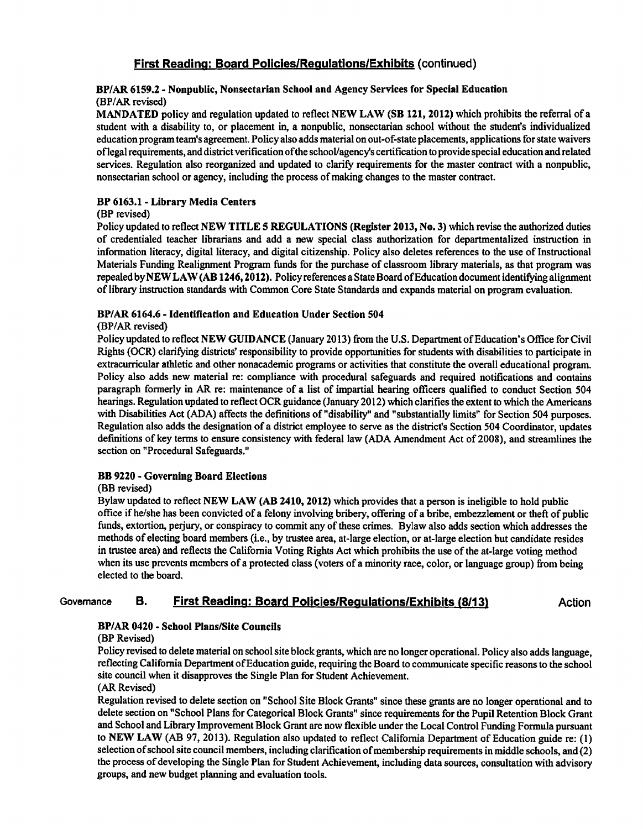# BP/AR 61S9.2 Nonpublic, Nonsectarian School and Agency Services for Special Education (BP/AR revised)

MANDATED policy and regulation updated to reflect NEW LAW (SB 121, 2012) which prohibits the referral of a student with a disability to, or placement in, a nonpublic, nonsectarian school without the student's individualized education program team's agreement. Policy also adds material on out-of-state placements, applications for state waivers oflegal requirements, and district verification ofthe school/agency's certification to provide special education and related services. Regulation also reorganized and updated to clarify requirements for the master contract with a nonpublic, nonsectarian school or agency, including the process of making changes to the master contract.

### BP 6163.1 - Library Media Centers

#### (BP revised)

Policy updated to reflect NEW TITLE 5 REGULATIONS (Register 2013, No. 3) which revise the authorized duties of credentialed teacher librarians and add new special class authorization for departmentalized instruction in information literacy, digital literacy, and digital citizenship. Policy also deletes references to the use of Instructional Materials Funding Realignment Program funds for the purchase of classroom library materials, as that program was repealed by NEW LAW (AB 1246, 2012). Policy references a State Board of Education document identifying alignment of library instruction standards with Common Core State Standards and expands material on program evaluation.

#### BP/AR 6164.6 Identification and Education Under Section 504

#### (BP/AR revised)

Policy updated to reflect NEW GUIDANCE (January 2013) from the U.S. Department of Education's Office for Civil Rights (OCR) clarifying districts' responsibility to provide opportunities for students with disabilities to participate in extracurricular athletic and other nonacademic programs or activities that constitute the overall educational program. Policy also adds new material re: compliance with procedural safeguards and required notifications and contains paragraph formerly in AR re: maintenance of a list of impartial hearing officers qualified to conduct Section 504 hearings. Regulation updated to reflect OCR guidance (January 2012) which clarifies the extent to which the Americans with Disabilities Act (ADA) affects the definitions of "disability" and "substantially limits" for Section 504 purposes. Regulation also adds the designation of a district employee to serve as the district's Section 504 Coordinator, updates definitions of key terms to ensure consistency with federal law (ADA Amendment Act of 2008), and streamlines the section on "Procedural Safeguards."

#### BB 9220 - Governing Board Elections

#### (BB revised)

Bylaw updated to reflect NEW LAW (AB 2410, 2012) which provides that a person is ineligible to hold public office if he/she has been convicted of a felony involving bribery, offering of a bribe, embezzlement or theft of public funds, extortion, perjury, or conspiracy to commit any of these crimes. Bylaw also adds section which addresses the methods of electing board members (i.e., by trustee area, at-large election, or at-large election but candidate resides in trustee area) and reflects the California Voting Rights Act which prohibits the use of the at-large voting method when its use prevents members of a protected class (voters of a minority race, color, or language group) from being elected to the board.

# Governance B. First Reading: Board Policies/Requlations/Exhibits (8/13) Action

#### BP/AR 0420 - School Plans/Site Councils

#### (BP Revised)

Policy revised to delete material on school site block grants, which are no longer operational. Policy also adds language, reflecting California Department of Education guide, requiring the Board to communicate specific reasons to the school site council when it disapproves the Single Plan for Student Achievement.

#### (AR Revised)

Regulation revised to delete section on "School Site Block Grants" since these grants are no longer operational and to delete section on "School Plans for Categorical Block Grants" since requirements for the Pupil Retention Block Grant and School and Library Improvement Block Grant are now flexible under the Local Control Funding Formula pursuant to NEW LAW (AB 97, 2013). Regulation also updated to reflect California Department of Education guide re: (1) selection of school site council members, including clarification of membership requirements in middle schools, and (2) the process of developing the Single Plan for Student Achievement, including data sources, consultation with advisory groups, and new budget planning and evaluation tools.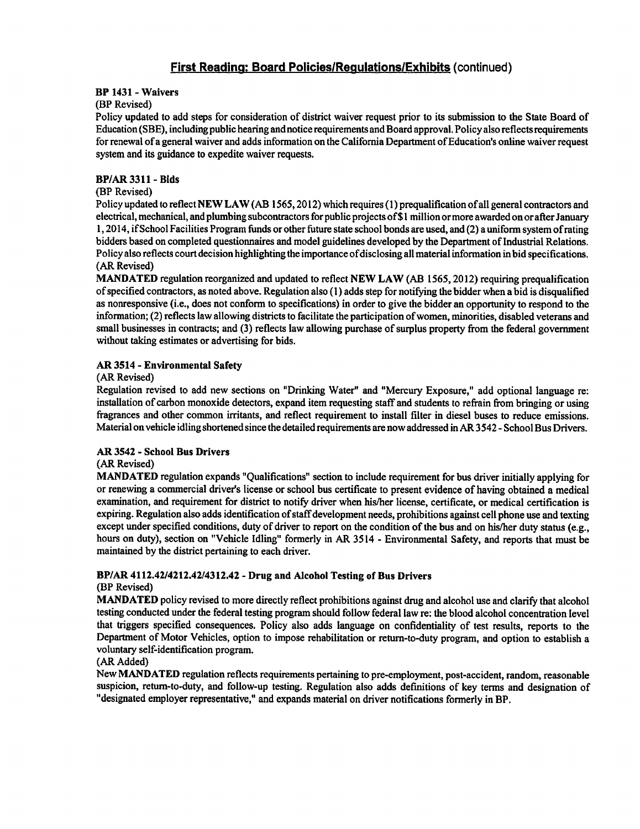#### BP 1431 - Waivers

#### (BP Revised)

Policy updated to add steps for consideration of district waiver request prior to its submission to the State Board of Education (SBE), including public hearing and notice requirements and Board approval. Policy also reflects requirements for renewal of general waiver and adds information on the California Department ofEducation's online waiver request system and its guidance to expedite waiver requests.

#### BP/AR3311-Bids

#### (BP Revised)

Policy updated to reflect NEW LAW (AB 1565,2012) which requires (1) prequalification of all general contractors and electrical, mechanical, and plumbing subcontractors for public projects of \$1 million or more awarded on or after January 1, 2014, if School Facilities Program funds or other future state school bonds are used, and (2) a uniform system of rating bidders based on completed questionnaires and model guidelines developed by the Department of Industrial Relations. Policy also reflects court decision highlighting the importance ofdisclosing all material information in bid specifications. (AR Revised)

MANDATED regulation reorganized and updated to reflect NEW LAW (AB 1565, 2012) requiring prequalification of specified contractors, as noted above. Regulation also (1) adds step for notifying the bidder when bid is disqualified as nonresponsive (i.e., does not conform to specifications) in order to give the bidder an opportunity to respond to the information; (2) reflects law allowing districts to facilitate the participation ofwomen, minorities, disabled veterans and small businesses in contracts; and (3) reflects law allowing purchase of surplus property from the federal government without taking estimates or advertising for bids.

#### AR 3514 - Environmental Safety

#### (AR Revised)

Regulation revised to add new sections on "Drinking Water" and "Mercury Exposure," add optional language re: installation of carbon monoxide detectors, expand item requesting staff and students to refrain from bringing or using fragrances and other common irritants, and reflect requirement to install filter in diesel buses to reduce emissions. Material on vehicle idling shortened since the detailed requirements are now addressed in AR 3542 - School Bus Drivers.

#### AR 3542 - School Bus Drivers

#### (AR Revised)

MANDATED regulation expands "Qualifications" section to include requirement for bus driver initially applying for or renewing a commercial driver's license or school bus certificate to present evidence of having obtained a medical examination, and requirement for district to notify driver when his/her license, certificate, or medical certification is expiring. Regulation also adds identification of staff development needs, prohibitions against cell phone use and texting except under specified conditions, duty of driver to report on the condition of the bus and on his/her duty status (e.g., hours on duty), section on "Vehicle Idling" formerly in AR 3514 - Environmental Safety, and reports that must be maintained by the district pertaining to each driver.

# BP/AR 4112.42/4212.42/4312.42 Drug and Alcohol Testing of Bus Drivers

#### (BP Revised)

MANDATED policy revised to more directly reflect prohibitions against drug and alcohol use and clarify that alcohol testing conducted under the federal testing program should follow federal law re: the blood alcohol concentration level that triggers specified consequences. Policy also adds language on confidentiality of test results, reports to the Department of Motor Vehicles, option to impose rehabilitation or return-to-duty program, and option to establish voluntary self-identification program.

#### (AR Added)

New MANDATED regulation reflects requirements pertaining to pre-employment, post-accident, random, reasonable suspicion, retum-to-duty, and follow-up testing. Regulation also adds definitions of key terms and designation of "designated employer representative," and expands material on driver notifications formerly in BP.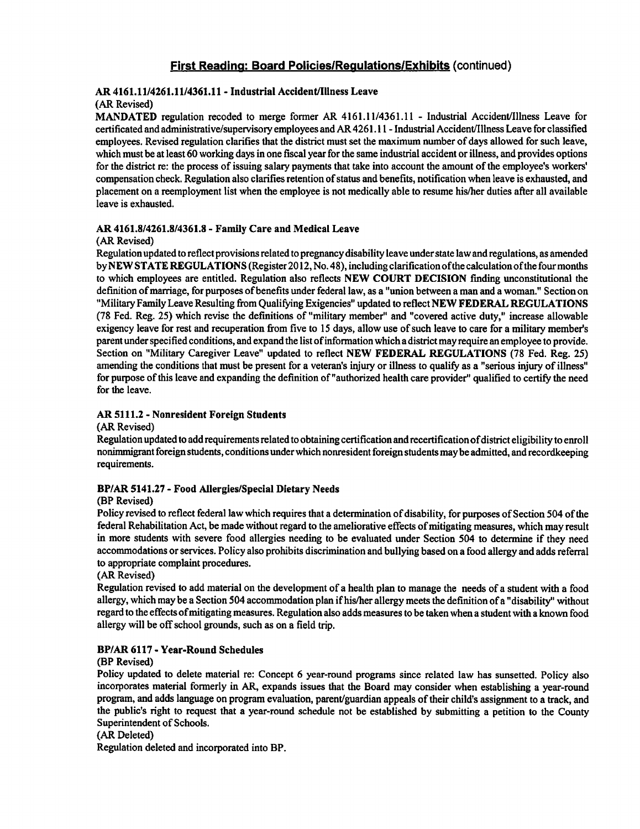# AR 4161.11/4261.11/4361.11 - Industrial Accident/Illness Leave

#### (AR Revised)

MANDATED regulation recoded to merge former AR 4161.11/4361.11 - Industrial Accident/Illness Leave for certificated and administrative/supervisory employees and AR 4261.11 - Industrial Accident/Illness Leave for classified employees. Revised regulation clarifies that the district must set the maximum number of days allowed for such leave, which must be at least 60 working days in one fiscal year for the same industrial accident or illness, and provides options for the district re: the process of issuing salary payments that take into account the amount of the employee's workers' compensation check. Regulation also clarifies retention of status and benefits, notification when leave is exhausted, and placement on reemployment list when the employee is not medically able to resume his/her duties after all available leave is exhausted.

#### AR 4161.8/4261.8/4361.8 Family Care and Medical Leave

#### (AR Revised)

Regulation updated to reflect provisions related to pregnancy disability leave under state law and regulations, as amended by NEW STATE REGULATIONS (Register 2012, No. 48), including clarification ofthe calculation ofthe four months to which employees are entitled. Regulation also reflects NEW COURT DECISION finding unconstitutional the definition of marriage, for purposes of benefits under federal law, as a "union between a man and a woman." Section on "Military Family Leave Resulting from Qualifying Exigencies" updated to reflect NEW FEDERAL REGULATIONS (78 Fed. Reg. 25) which revise the definitions of "military member" and "covered active duty," increase allowable exigency leave for rest and recuperation from five to 15 days, allow use of such leave to care for military member's parent under specified conditions, and expand the list ofinformation which district may require an employee to provide. Section on "Military Caregiver Leave" updated to reflect NEW FEDERAL REGULATIONS (78 Fed. Reg. 25) amending the conditions that must be present for a veteran's injury or illness to qualify as a "serious injury of illness" for purpose of this leave and expanding the definition of "authorized health care provider" qualified to certify the need for the leave.

### AR 5111.2 - Nonresident Foreign Students

#### (AR Revised)

Regulation updated to add requirements related to obtaining certification and recertification ofdistrict eligibility to enroll nonimmigrant foreign students, conditions under which nonresident foreign students maybe admitted, and recordkeeping requirements.

#### BP/AR 5141.27 - Food Allergies/Special Dietary Needs

#### (BP Revised)

Policy revised to reflect federal law which requires that a determination of disability, for purposes of Section 504 of the federal Rehabilitation Act, be made without regard to the ameliorative effects of mitigating measures, which may result in more students with severe food allergies needing to be evaluated under Section 504 to determine if they need accommodations or services. Policy also prohibits discrimination and bullying based on a food allergy and adds referral to appropriate complaint procedures.

#### (AR Revised)

Regulation revised to add material on the development of a health plan to manage the needs of a student with a food allergy, which may be a Section 504 accommodation plan if his/her allergy meets the definition of a "disability" without regard to the effects of mitigating measures. Regulation also adds measures to be taken when a student with a known food allergy will be off school grounds, such as on a field trip.

#### BP/AR 6117 - Year-Round Schedules

#### (BP Revised)

Policy updated to delete material re: Concept 6 year-round programs since related law has sunsetted. Policy also incorporates material formerly in AR, expands issues that the Board may consider when establishing a year-round program, and adds language on program evaluation, parent/guardian appeals of their child's assignment to a track, and the public's right to request that a year-round schedule not be established by submitting a petition to the County Superintendent of Schools.

#### (AR Deleted)

Regulation deleted and incorporated into BP.